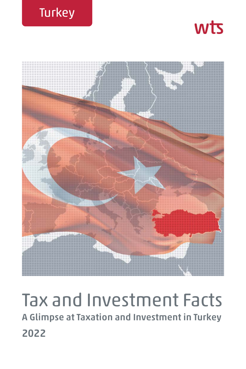





# Tax and Investment Facts **A Glimpse at Taxation and Investment in Turkey 2022**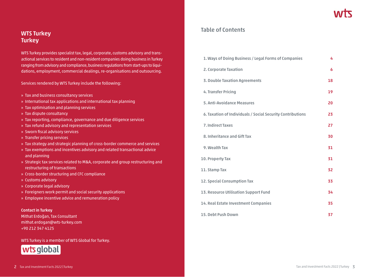## **WTS Turkey Turkey**

WTS Turkey provides specialist tax, legal, corporate, customs advisory and transactional services to resident and non-resident companies doing business in Turkey ranging from advisory and compliance, business regulations from start-ups to liquidations, employment, commercial dealings, re-organisations and outsourcing.

Services rendered by WTS Turkey include the following:

- » Tax and business consultancy services
- » International tax applications and international tax planning
- » Tax optimisation and planning services
- » Tax dispute consultancy
- » Tax reporting, compliance, governance and due diligence services
- » Tax refund advisory and representation services
- » Sworn fiscal advisory services
- » Transfer pricing services
- » Tax strategy and strategic planning of cross-border commerce and services
- » Tax exemptions and incentives advisory and related transactional advice and planning
- » Strategic tax services related to M&A, corporate and group restructuring and restructuring of transactions
- » Cross-border structuring and CFC compliance
- » Customs advisory
- » Corporate legal advisory
- » Foreigners work permit and social security applications
- » Employee incentive advice and remuneration policy

#### **Contact in Turkey**

Mithat Erdoğan, Tax Consultant mithat.erdogan@wts-turkey.com +90 212 347 4125

#### WTS Turkey is a member of WTS Global for Turkey.



## **Table of Contents**

| 1. Ways of Doing Business / Legal Forms of Companies       | 4  |
|------------------------------------------------------------|----|
| 2. Corporate Taxation                                      | 6  |
| <b>3. Double Taxation Agreements</b>                       | 18 |
| 4. Transfer Pricing                                        | 19 |
| 5. Anti-Avoidance Measures                                 | 20 |
| 6. Taxation of Individuals / Social Security Contributions | 23 |
| <b>7. Indirect Taxes</b>                                   | 27 |
| 8. Inheritance and Gift Tax                                | 30 |
| 9. Wealth Tax                                              | 31 |
| 10. Property Tax                                           | 31 |
| 11. Stamp Tax                                              | 32 |
| 12. Special Consumption Tax                                | 33 |
| 13. Resource Utilisation Support Fund                      | 34 |
| 14. Real Estate Investment Companies                       | 35 |
| <b>15. Debt Push Down</b>                                  | 37 |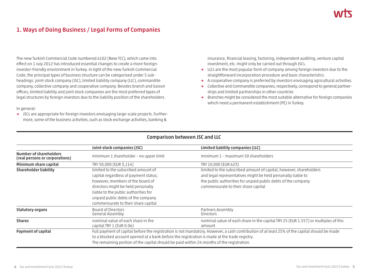# **1. Ways of Doing Business / Legal Forms of Companies**

The new Turkish Commercial Code numbered 6102 (New TCC), which came into effect on 1 July 2012 has introduced essential changes to create a more foreigninvestor-friendly environment in Turkey. In light of the new Turkish Commercial Code, the principal types of business structure can be categorised under 5 subheadings: joint-stock company (JSC), limited liability company (LLC), commandite company, collective company and cooperative company. Besides branch and liaison offices, limited liability and joint stock companies are the most preferred types of legal structures by foreign investors due to the liability position of the shareholders.

In general:

**→** JSCs are appropriate for foreign investors envisaging large-scale projects. Furthermore, some of the business activities, such as stock exchange activities, banking &

insurance, financial leasing, factoring, independent auditing, venture capital investment, etc. might only be carried out through JSCs.

- **→** LLCs are the most popular form of company among foreign investors due to the straightforward incorporation procedure and basic characteristics.
- **→** A cooperative company is preferred by investors envisaging agricultural activities.
- **→** Collective and Commandite companies, respectively, correspond to general partnerships and limited partnerships in other countries
- **→** Branches might be considered the most suitable alternative for foreign companies which need a permanent establishment (PE) in Turkey.

|                                                                                                                                                                                           | Joint-stock companies (JSC)                                                                                                                  | Limited liability companies (LLC)                                                            |
|-------------------------------------------------------------------------------------------------------------------------------------------------------------------------------------------|----------------------------------------------------------------------------------------------------------------------------------------------|----------------------------------------------------------------------------------------------|
| Number of shareholders<br>(real persons or corporations)                                                                                                                                  | minimum 1 shareholder - no upper limit                                                                                                       | minimum 1 – maximum 50 shareholders                                                          |
| Minimum share capital                                                                                                                                                                     | TRY 50,000 (EUR 3,114)                                                                                                                       | TRY 10,000 (EUR 623)                                                                         |
| <b>Shareholder liability</b>                                                                                                                                                              | limited to the subscribed amount of                                                                                                          | limited to the subscribed amount of capital, however, shareholders                           |
|                                                                                                                                                                                           | capital regardless of payment status;                                                                                                        | and legal representatives might be held personally liable to                                 |
|                                                                                                                                                                                           | however, members of the board of                                                                                                             | the public authorities for unpaid public debts of the company                                |
|                                                                                                                                                                                           | directors might be held personally                                                                                                           | commensurate to their share capital                                                          |
|                                                                                                                                                                                           | liable to the public authorities for                                                                                                         |                                                                                              |
|                                                                                                                                                                                           | unpaid public debts of the company                                                                                                           |                                                                                              |
|                                                                                                                                                                                           | commensurate to their share capital                                                                                                          |                                                                                              |
| <b>Statutory organs</b>                                                                                                                                                                   | Board of Directors<br>General Assembly                                                                                                       | Partners Assembly<br><b>Directors</b>                                                        |
| <b>Shares</b>                                                                                                                                                                             | nominal value of each share in the<br>capital TRY 1 (EUR 0.06)                                                                               | nominal value of each share in the capital TRY 25 (EUR 1.557) or multiples of this<br>amount |
| Payment of capital                                                                                                                                                                        | Full payment of capital before the registration is not mandatory. However, a cash contribution of at least 25% of the capital should be made |                                                                                              |
| to a blocked account opened at a bank before the registration is made at the trade registry.<br>The remaining portion of the capital should be paid within 24 months of the registration. |                                                                                                                                              |                                                                                              |
|                                                                                                                                                                                           |                                                                                                                                              |                                                                                              |

## **Comparison between JSC and LLC**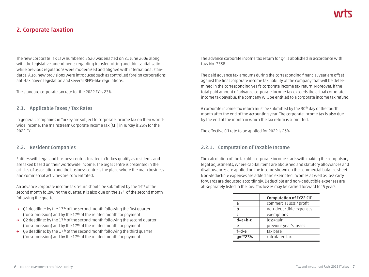# **2. Corporate Taxation**

The new Corporate Tax Law numbered 5520 was enacted on 21 June 2006 along with the legislative amendments regarding transfer pricing and thin capitalisation, while previous regulations were modernised and aligned with international standards. Also, new provisions were introduced such as controlled foreign corporations, anti-tax haven legislation and several BEPS-like regulations.

The standard corporate tax rate for the 2022 FY is 23%.

#### **2.1. Applicable Taxes / Tax Rates**

In general, companies in Turkey are subject to corporate income tax on their worldwide income. The mainstream Corporate Income Tax (CIT) in Turkey is 23% for the 2022 FY.

### **2.2. Resident Companies**

Entities with legal and business centres located in Turkey qualify as residents and are taxed based on their worldwide income. The legal centre is presented in the articles of association and the business centre is the place where the main business and commercial activities are concentrated.

An advance corporate income tax return should be submitted by the 14<sup>th</sup> of the second month following the quarter. It is also due on the 17<sup>th</sup> of the second month following the quarter.

- → Q1 deadline: by the 17<sup>th</sup> of the second month following the first quarter (for submission) and by the  $17<sup>th</sup>$  of the related month for payment
- **→** Q2 deadline: by the 17th of the second month following the second quarter (for submission) and by the 17th of the related month for payment
- **→** Q3 deadline: by the 17th of the second month following the third quarter (for submission) and by the 17<sup>th</sup> of the related month for payment

The advance corporate income tax return for Q4 is abolished in accordance with Law No. 7338.

The paid advance tax amounts during the corresponding financial year are offset against the final corporate income tax liability of the company that will be determined in the corresponding year's corporate income tax return. Moreover, if the total paid amount of advance corporate income tax exceeds the actual corporate income tax payable, the company will be entitled to a corporate income tax refund.

A corporate income tax return must be submitted by the 30<sup>th</sup> day of the fourth month after the end of the accounting year. The corporate income tax is also due by the end of the month in which the tax return is submitted.

The effective CIT rate to be applied for 2022 is 23%.

## **2.2.1. Computation of Taxable Income**

The calculation of the taxable corporate income starts with making the compulsory legal adjustments, where capital items are abolished and statutory allowances and disallowances are applied on the income shown on the commercial balance sheet. Non-deductible expenses are added and exempted incomes as well as loss carry forwards are deducted accordingly. Deductible and non-deductible expenses are all separately listed in the law. Tax losses may be carried forward for 5 years.

|             | <b>Computation of FY22 CIT</b> |
|-------------|--------------------------------|
| a           | commercial loss / profit       |
| h           | non-deductible expenses        |
|             | exemptions                     |
| $d=a+b-c$   | loss/gain                      |
| e           | previous year's losses         |
| $f = d - e$ | tax base                       |
| q=f*23%     | calculated tax                 |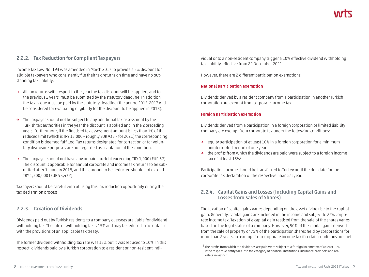## **2.2.2. Tax Reduction for Compliant Taxpayers**

Income Tax Law No. 193 was amended in March 2017 to provide a 5% discount for eligible taxpayers who consistently file their tax returns on time and have no outstanding tax liability.

- **→** All tax returns with respect to the year the tax discount will be applied, and to the previous 2 years, must be submitted by the statutory deadline. In addition, the taxes due must be paid by the statutory deadline (the period 2015-2017 will be considered for evaluating eligibility for the discount to be applied in 2018).
- **→** The taxpayer should not be subject to any additional tax assessment by the Turkish tax authorities in the year the discount is applied and in the 2 preceding years. Furthermore, if the finalised tax assessment amount is less than 1% of the reduced limit (which is TRY 15,000 – roughly EUR 935 – for 2021) the corresponding condition is deemed fulfilled. Tax returns designated for correction or for voluntary disclosure purposes are not regarded as a violation of the condition.
- **→** The taxpayer should not have any unpaid tax debt exceeding TRY 1,000 (EUR 62). The discount is applicable for annual corporate and income tax returns to be submitted after 1 January 2018, and the amount to be deducted should not exceed TRY 1,500,000 (EUR 93,432).

Taxpayers should be careful with utilising this tax reduction opportunity during the tax declaration process.

## **2.2.3. Taxation of Dividends**

Dividends paid out by Turkish residents to a company overseas are liable for dividend withholding tax. The rate of withholding tax is 15% and may be reduced in accordance with the provisions of an applicable tax treaty.

The former dividend withholding tax rate was 15% but it was reduced to 10%. In this respect, dividends paid by a Turkish corporation to a resident or non-resident individual or to a non-resident company trigger a 10% effective dividend withholding tax liability, effective from 22 December 2021.

However, there are 2 different participation exemptions:

#### **National participation exemption**

Dividends derived by a resident company from a participation in another Turkish corporation are exempt from corporate income tax.

#### **Foreign participation exemption**

Dividends derived from a participation in a foreign corporation or limited liability company are exempt from corporate tax under the following conditions:

- **→** equity participation of at least 10% in a foreign corporation for a minimum uninterrupted period of one year
- **→** the profits from which the dividends are paid were subject to a foreign income tax of at least 15%1

Participation income should be transferred to Turkey until the due date for the corporate tax declaration of the respective financial year.

## **2.2.4. Capital Gains and Losses (Including Capital Gains and Losses from Sales of Shares)**

The taxation of capital gains varies depending on the asset giving rise to the capital gain. Generally, capital gains are included in the income and subject to 22% corporate income tax. Taxation of a capital gain realised from the sale of the shares varies based on the legal status of a company. However, 50% of the capital gains derived from the sale of property or 75% of the participation shares held by corporations for more than 2 years are exempt from corporate income tax if certain conditions are met.

 $1$  The profits from which the dividends are paid were subject to a foreign income tax of at least 20% if the respective entity falls into the category of financial institutions, insurance providers and real estate investors.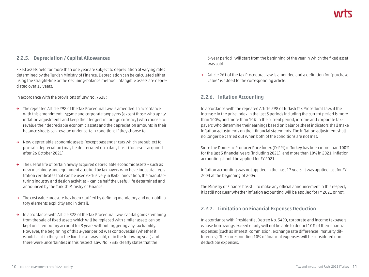## **2.2.5. Depreciation / Capital Allowances**

Fixed assets held for more than one year are subject to depreciation at varying rates determined by the Turkish Ministry of Finance. Depreciation can be calculated either using the straight-line or the declining-balance method. Intangible assets are depreciated over 15 years.

In accordance with the provisions of Law No. 7338:

- **→** The repeated Article 298 of the Tax Procedural Law is amended. In accordance with this amendment, income and corporate taxpayers (except those who apply inflation adjustments and keep their ledgers in foreign currency) who choose to revalue their depreciable economic assets and the depreciation amounts in their balance sheets can revalue under certain conditions if they choose to.
- **→** New depreciable economic assets (except passenger cars which are subject to pro-rata depreciation) may be depreciated on a daily basis (for assets acquired after 26 October 2021).
- **→** The useful life of certain newly acquired depreciable economic assets such as new machinery and equipment acquired by taxpayers who have industrial registration certificates that can be used exclusively in R&D, innovation, the manufacturing industry and design activities – can be half the useful life determined and announced by the Turkish Ministry of Finance.
- **→** The cost value measure has been clarified by defining mandatory and non-obligatory elements explicitly and in detail.
- **→** In accordance with Article 328 of the Tax Procedural Law, capital gains stemming from the sale of fixed assets which will be replaced with similar assets can be kept on a temporary account for 3 years without triggering any tax liability. However, the beginning of this 3-year period was controversial (whether it would start in the year the fixed asset was sold, or in the following year) and there were uncertainties in this respect. Law No. 7338 clearly states that the

3-year period will start from the beginning of the year in which the fixed asset was sold.

**→** Article 261 of the Tax Procedural Law is amended and a definition for "purchase value" is added to the corresponding article.

## **2.2.6. Inflation Accounting**

In accordance with the repeated Article 298 of Turkish Tax Procedural Law, if the increase in the price index in the last 3 periods including the current period is more than 100%, and more than 10% in the current period, income and corporate taxpayers who determine their earnings based on balance sheet indicators shall make inflation adjustments on their financial statements. The inflation adjustment shall no longer be carried out when both of the conditions are not met.

Since the Domestic Producer Price İndex (D-PPI) in Turkey has been more than 100% for the last 3 financial years (including 2021), and more than 10% in 2021, inflation accounting should be applied for FY 2021.

Inflation accounting was not applied in the past 17 years. It was applied last for FY 2003 at the beginning of 2004.

The Ministry of Finance has still to make any official announcement in this respect, it is still not clear whether inflation accounting will be applied for FY 2021 or not.

## **2.2.7. Limitation on Financial Expenses Deduction**

In accordance with Presidential Decree No. 3490, corporate and income taxpayers whose borrowings exceed equity will not be able to deduct 10% of their financial expenses (such as interest, commission, exchange rate differences, maturity differences). The corresponding 10% of financial expenses will be considered nondeductible expenses.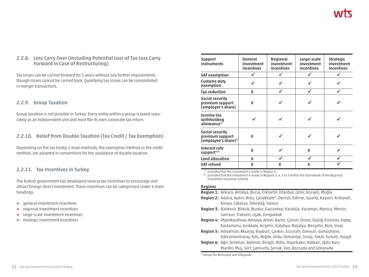## **2.2.8. Loss Carry Over (Including Potential Loss of Tax Loss Carry Forward in Case of Restructuring)**

Tax losses can be carried forward for 5 years without any further requirements, though losses cannot be carried back. Qualifying tax losses can be consolidated in merger transactions.

### **2.2.9. Group Taxation**

Group taxation is not possible in Turkey. Every entity within a group is taxed separately as an independent unit and must file its own corporate tax return.

## **2.2.10. Relief from Double Taxation (Tax Credit / Tax Exemption)**

Depending on the tax treaty, 2 main methods, the exemption method or the credit method, are adopted in conventions for the avoidance of double taxation.

## **2.2.11. Tax Incentives in Turkey**

The Turkish government has developed several tax incentives to encourage and attract foreign direct investment. These incentives can be categorised under 4 main headings:

- **→** general investment incentives
- **→** regional investment incentives
- **→** large-scale investment incentives
- **→** strategic investment incentives

| <b>Support</b><br>instruments                             | General<br>investment<br>incentives | Regional<br>investment<br>incentives | Large-scale<br>investment<br>incentives | <b>Strategic</b><br>investment<br>incentives |
|-----------------------------------------------------------|-------------------------------------|--------------------------------------|-----------------------------------------|----------------------------------------------|
| <b>VAT exemption</b>                                      |                                     |                                      |                                         |                                              |
| <b>Customs duty</b><br>exemption                          |                                     |                                      |                                         |                                              |
| <b>Tax reduction</b>                                      | X                                   |                                      |                                         |                                              |
| Social security<br>premium support<br>(employer's share)  | X                                   |                                      |                                         |                                              |
| Income tax<br>withholding<br>allowance*                   |                                     |                                      |                                         |                                              |
| Social security<br>premium support<br>(employee's share)* | X                                   |                                      |                                         |                                              |
| Interest rate<br>support**                                | X                                   |                                      | X                                       |                                              |
| Land allocation                                           | X                                   |                                      | ✔                                       |                                              |
| <b>VAT refund</b>                                         | X                                   | X                                    | X                                       |                                              |

provided that the investment is made in Region 6

\*\* provided that the investment is made in Regions 3, 4, 5 or 6 within the framework of the Regional Investment Incentive Scheme

#### **Regions**

**Region 1:** Ankara, Antalya, Bursa, Eskisehir, İstanbul, İzmir, Kocaeli, Muğla

- **Region 2:** Adana, Aydın, Bolu, Çanakkale\*, Denizli, Edirne, Isparta, Kayseri, Kırklareli, Konya, Sakarya, Tekirdağ, Yalova
- **Region 3:** Balıkesir, Bilecik, Burdur, Gaziantep, Karabük, Karaman, Manisa, Mersin, Samsun, Trabzon, Uşak, Zonguldak
- **Region 4:** Afyonkarahisar, Amasya, Artvin, Bartın, Çorum, Düzce, Elazığ, Erzincan, Hatay, Kastamonu, Kırıkkale, Kırşehir, Kütahya, Malatya, Nevşehir, Rize, Sivas
- **Region 5:** Adıyaman, Aksaray, Bayburt, Çankırı, Erzurum, Giresun, Gümüşhane, Kahramanmaraş, Kilis, Niğde, Ordu, Osmaniye, Sinop, Tokat, Tunceli, Yozgat
- **Region 6:** Ağrı, Ardahan, Batman, Bingöl, Bitlis, Diyarbakır, Hakkari, Iğdır, Kars, Mardin, Muş, Siirt, Şanlıurfa, Şırnak, Van, Bozcada and Gökçeada

\* except for Bozcaada and Gökçeada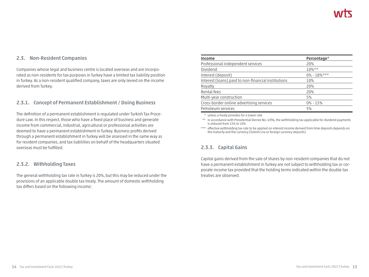## **2.3. Non-Resident Companies**

Companies whose legal and business centre is located overseas and are incorporated as non-residents for tax purposes in Turkey have a limited tax liability position in Turkey. As a non-resident qualified company, taxes are only levied on the income derived from Turkey.

### **2.3.1. Concept of Permanent Establishment / Doing Business**

The definition of a permanent establishment is regulated under Turkish Tax Procedure Law. In this respect, those who have a fixed place of business and generate income from commercial, industrial, agricultural or professional activities are deemed to have a permanent establishment in Turkey. Business profits derived through a permanent establishment in Turkey will be assessed in the same way as for resident companies, and tax liabilities on behalf of the headquarters situated overseas must be fulfilled.

### **2.3.2. Withholding Taxes**

The general withholding tax rate in Turkey is 20%, but this may be reduced under the provisions of an applicable double tax treaty. The amount of domestic withholding tax differs based on the following income:

| Income                                              | Percentage*      |
|-----------------------------------------------------|------------------|
| Professional independent services                   | 20%              |
| Dividend                                            | 10%**            |
| Interest (deposit)                                  | $0\% - 18\%$ *** |
| Interest (loans) paid to non-financial institutions | 10%              |
| Royalty                                             | 20%              |
| Rental fees                                         | 20%              |
| Multi-year construction                             | 5%               |
| Cross-border online advertising services            | $0\% - 15\%$     |
| Petroleum services                                  | 5%               |

\* unless a treaty provides for a lower rate

\*\* in accordance with Presidential Decree No. 4396, the withholding tax applicable for dividend payments is reduced from 15% to 10%

\*\*\* effective withholding tax rate to be applied on interest income derived from time deposits depends on the maturity and the currency (Turkish Lira or foreign currency deposits)

## **2.3.3. Capital Gains**

Capital gains derived from the sale of shares by non-resident companies that do not have a permanent establishment in Turkey are not subject to withholding tax or corporate income tax provided that the holding terms indicated within the double tax treaties are observed.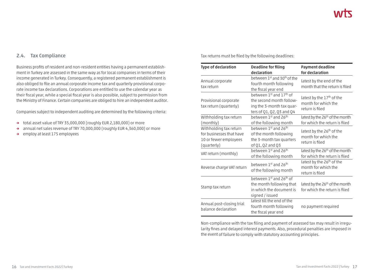## **2.4. Tax Compliance**

Business profits of resident and non-resident entities having a permanent establishment in Turkey are assessed in the same way as for local companies in terms of their income generated in Turkey. Consequently, a registered permanent establishment is also obliged to file an annual corporate income tax and quarterly provisional corporate income tax declarations. Corporations are entitled to use the calendar year as their fiscal year, while a special fiscal year is also possible, subject to permission from the Ministry of Finance. Certain companies are obliged to hire an independent auditor.

Companies subject to independent auditing are determined by the following criteria:

- **→** total asset value of TRY 35,000,000 (roughly EUR 2,180,000) or more
- **→** annual net sales revenue of TRY 70,000,000 (roughly EUR 4,360,000) or more
- **→** employ at least 175 employees

Tax returns must be filed by the following deadlines:

| Type of declaration                                                                        | <b>Deadline for filing</b><br>declaration                                                                      | Payment deadline<br>for declaration                                             |
|--------------------------------------------------------------------------------------------|----------------------------------------------------------------------------------------------------------------|---------------------------------------------------------------------------------|
| Annual corporate<br>tax return                                                             | between 1st and 30 <sup>th</sup> of the<br>fourth month following<br>the fiscal year end                       | latest by the end of the<br>month that the return is filed                      |
| Provisional corporate<br>tax return (quarterly)                                            | between 1st and 17th of<br>the second month follow-<br>ing the 3-month tax quar-<br>ters of Q1, Q2, Q3 and Q4  | latest by the 17th of the<br>month for which the<br>return is filed             |
| Withholding tax return<br>(monthly)                                                        | between 1st and 26th<br>of the following month                                                                 | latest by the 26 <sup>th</sup> of the month<br>for which the return is filed    |
| Withholding tax return<br>for businesses that have<br>10 or fewer employees<br>(quarterly) | between 1st and 26th<br>of the month following<br>the 3-month tax quarters<br>of Q1, Q2 and Q3                 | latest by the 26 <sup>th</sup> of the<br>month for which the<br>return is filed |
| VAT return (monthly)                                                                       | between 1st and 26th<br>of the following month                                                                 | latest by the 26 <sup>th</sup> of the month<br>for which the return is filed    |
| Reverse charge VAT return                                                                  | between 1st and 26th<br>of the following month                                                                 | latest by the 26 <sup>th</sup> of the<br>month for which the<br>return is filed |
| Stamp tax return                                                                           | between 1st and 26 <sup>th</sup> of<br>the month following that<br>in which the document is<br>signed / issued | latest by the 26 <sup>th</sup> of the month<br>for which the return is filed    |
| Annual post-closing trial<br>balance declaration                                           | latest till the end of the<br>fourth month following<br>the fiscal year end                                    | no payment required                                                             |

Non-compliance with the tax filing and payment of assessed tax may result in irregularity fines and delayed interest payments. Also, procedural penalties are imposed in the event of failure to comply with statutory accounting principles.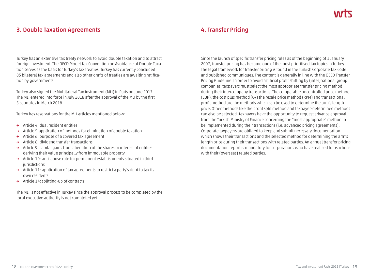# **3. Double Taxation Agreements**

Turkey has an extensive tax treaty network to avoid double taxation and to attract foreign investment. The OECD Model Tax Convention on Avoidance of Double Taxation serves as the basis for Turkey's tax treaties. Turkey has currently concluded 85 bilateral tax agreements and also other drafts of treaties are awaiting ratification by governments.

Turkey also signed the Multilateral Tax Instrument (MLI) in Paris on June 2017. The MLI entered into force in July 2018 after the approval of the MLI by the first 5 countries in March 2018.

Turkey has reservations for the MLI articles mentioned below:

- **→** Article 4: dual resident entities
- **→** Article 5:application of methods for elimination of double taxation
- **→** Article 6: purpose of a covered tax agreement
- **→** Article 8: dividend transfer transactions
- **→** Article 9: capital gains from alienation of the shares or interest of entities deriving their value principally from immovable property
- **→** Article 10: anti-abuse rule for permanent establishments situated in third iurisdictions
- **→** Article 11: application of tax agreements to restrict a party's right to tax its own residents
- **→** Article 14: splitting-up of contracts

The MLI is not effective in Turkey since the approval process to be completed by the local executive authority is not completed yet.

## **4. Transfer Pricing**

Since the launch of specific transfer pricing rules as of the beginning of 1 January 2007, transfer pricing has become one of the most prioritised tax topics in Turkey. The legal framework for transfer pricing is found in the Turkish Corporate Tax Code and published communiques. The content is generally in line with the OECD Transfer Pricing Guideline. In order to avoid artificial profit shifting by (inter)national group companies, taxpayers must select the most appropriate transfer pricing method during their intercompany transactions. The comparable uncontrolled price method (CUP), the cost plus method (C+) the resale price method (RPM) and transactional profit method are the methods which can be used to determine the arm's length price. Other methods like the profit split method and taxpayer-determined methods can also be selected. Taxpayers have the opportunity to request advance approval from the Turkish Ministry of Finance concerning the "most appropriate" method to be implemented during their transactions (i.e. advanced pricing agreements). Corporate taxpayers are obliged to keep and submit necessary documentation which shows their transactions and the selected method for determining the arm's length price during their transactions with related parties. An annual transfer pricing documentation report is mandatory for corporations who have realised transactions with their (overseas) related parties.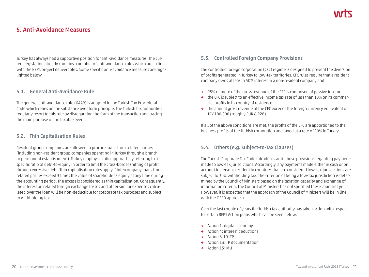## **5. Anti-Avoidance Measures**

Turkey has always had a supportive position for anti-avoidance measures. The current legislation already contains a number of anti-avoidance rules which are in line with the BEPS project deliverables. Some specific anti-avoidance measures are highlighted below.

### **5.1. General Anti-Avoidance Rule**

The general anti-avoidance rule (GAAR) is adopted in the Turkish Tax Procedural Code which relies on the substance over form principle. The Turkish tax authorities regularly resort to this rule by disregarding the form of the transaction and tracing the main purpose of the taxable event.

## **5.2. Thin Capitalisation Rules**

Resident group companies are allowed to procure loans from related parties (including non-resident group companies operating in Turkey through a branch or permanent establishment). Turkey employs a ratio approach by referring to a specific ratio of debt-to-equity in order to limit the cross-border shifting of profit through excessive debt. Thin capitalisation rules apply if intercompany loans from related parties exceed 3 times the value of shareholder's equity at any time during the accounting period. The excess is considered as thin capitalisation. Consequently, the interest on related foreign exchange losses and other similar expenses calculated over the loan will be non-deductible for corporate tax purposes and subject to withholding tax.

## **5.3. Controlled Foreign Company Provisions**

The controlled foreign corporation (CFC) regime is designed to prevent the diversion of profits generated in Turkey to low-tax territories. CFC rules require that a resident company owns at least a 50% interest in a non-resident company and:

- **→** 25% or more of the gross revenue of the CFC is composed of passive income
- **→** the CFC is subject to an effective income tax rate of less than 10% on its commercial profits in its country of residence
- **→** the annual gross revenue of the CFC exceeds the foreign currency equivalent of TRY 100,000 (roughly EUR 6,228)

If all of the above conditions are met, the profits of the CFC are apportioned to the business profits of the Turkish corporation and taxed at a rate of 20% in Turkey.

## **5.4. Others (e.g. Subject-to-Tax Clauses)**

The Turkish Corporate Tax Code introduces anti-abuse provisions regarding payments made to low-tax jurisdictions. Accordingly, any payments made either in cash or on account to persons resident in countries that are considered low-tax jurisdictions are subject to 30% withholding tax. The criterion of being a low-tax jurisdiction is determined by the Council of Ministers based on the taxation capacity and exchange of information criteria. The Council of Ministers has not specified these countries yet. However, it is expected that the approach of the Council of Ministers will be in line with the OECD approach.

Over the last couple of years the Turkish tax authority has taken action with respect to certain BEPS Action plans which can be seen below:

- **→** Action 1: digital economy
- **→** Action 4: interest deductions
- **→** Action 8-10: TP
- **→** Action 13: TP documentation
- **→** Action 15: MLI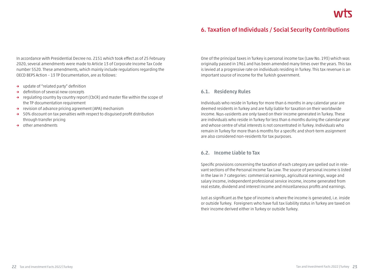## **6. Taxation of Individuals / Social Security Contributions**

In accordance with Presidential Decree no. 2151 which took effect as of 25 February 2020, several amendments were made to Article 13 of Corporate Income Tax Code number 5520. These amendments, which mainly include regulations regarding the OECD BEPS Action – 13 TP Documentation, are as follows:

- **→** update of "related party" definition
- **→** definition of several new concepts
- **→** regulating country by country report (CbCR) and master file within the scope of the TP documentation requirement
- **→** revision of advance pricing agreement (APA) mechanism
- **→** 50% discount on tax penalties with respect to disguised profit distribution through transfer pricing
- **→** other amendments

One of the principal taxes in Turkey is personal income tax (Law No. 193) which was originally passed in 1961 and has been amended many times over the years. This tax is levied at a progressive rate on individuals residing in Turkey. This tax revenue is an important source of income for the Turkish government.

#### **6.1. Residency Rules**

Individuals who reside in Turkey for more than 6 months in any calendar year are deemed residents in Turkey and are fully liable for taxation on their worldwide income. Non-residents are only taxed on their income generated in Turkey. These are individuals who reside in Turkey for less than 6 months during the calendar year and whose centre of vital interests is not concentrated in Turkey. Individuals who remain in Turkey for more than 6 months for a specific and short-term assignment are also considered non-residents for tax purposes.

#### **6.2. Income Liable to Tax**

Specific provisions concerning the taxation of each category are spelled out in relevant sections of the Personal Income Tax Law. The source of personal income is listed in the law in 7 categories: commercial earnings, agricultural earnings, wage and salary income, independent professional service income, income generated from real estate, dividend and interest income and miscellaneous profits and earnings.

Just as significant as the type of income is where the income is generated, i.e. inside or outside Turkey. Foreigners who have full tax liability status in Turkey are taxed on their income derived either in Turkey or outside Turkey.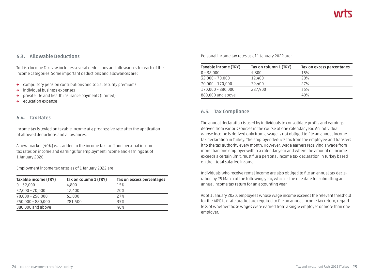## **6.3. Allowable Deductions**

Turkish Income Tax Law includes several deductions and allowances for each of the income categories. Some important deductions and allowances are:

- **→** compulsory pension contributions and social security premiums
- **→** individual business expenses
- **→** private life and health insurance payments (limited)
- **→** education expense

### **6.4. Tax Rates**

Income tax is levied on taxable income at a progressive rate after the application of allowed deductions and allowances.

A new bracket (40%) was added to the income tax tariff and personal income tax rates on income and earnings for employment income and earnings as of 1 January 2020.

Employment income tax rates as of 1 January 2022 are:

| Taxable income (TRY) | Tax on column 1 (TRY) | Tax on excess percentages |
|----------------------|-----------------------|---------------------------|
| $0 - 32,000$         | 4,800                 | 15%                       |
| 32,000 - 70,000      | 12,400                | 20%                       |
| $70,000 - 250,000$   | 61,000                | 27%                       |
| 250,000 - 880,000    | 281,500               | 35%                       |
| 880,000 and above    |                       | 40%                       |

Personal income tax rates as of 1 January 2022 are:

| Taxable income (TRY) | Tax on column 1 (TRY) | Tax on excess percentages |
|----------------------|-----------------------|---------------------------|
| $0 - 32,000$         | 4,800                 | 15%                       |
| $32,000 - 70,000$    | 12,400                | 20%                       |
| 70,000 - 170,000     | 39,400                | 27%                       |
| 170,000 - 880,000    | 287,900               | 35%                       |
| 880,000 and above    |                       | 40%                       |

### **6.5. Tax Compliance**

The annual declaration is used by individuals to consolidate profits and earnings derived from various sources in the course of one calendar year. An individual whose income is derived only from a wage is not obliged to file an annual income tax declaration in Turkey. The employer deducts tax from the employee and transfers it to the tax authority every month. However, wage earners receiving a wage from more than one employer within a calendar year and where the amount of income exceeds a certain limit, must file a personal income tax declaration in Turkey based on their total salaried income.

Individuals who receive rental income are also obliged to file an annual tax declaration by 25 March of the following year, which is the due date for submitting an annual income tax return for an accounting year.

As of 1 January 2020, employees whose wage income exceeds the relevant threshold for the 40% tax rate bracket are required to file an annual income tax return, regardless of whether those wages were earned from a single employer or more than one employer.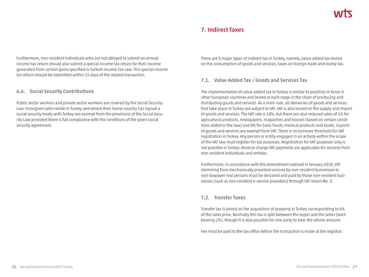## **7. Indirect Taxes**

Furthermore, non-resident individuals who are not obliged to submit an annual income tax return should also submit a special income tax return for their income generated from certain gains specified in Turkish Income Tax Law. This special income tax return should be submitted within 15 days of the related transaction.

## **6.6. Social Security Contributions**

Public sector workers and private sector workers are covered by the Social Security Law. Foreigners who reside in Turkey and where their home country has signed a social security treaty with Turkey are exempt from the provisions of the Social Security Law provided there is full compliance with the conditions of the given social security agreement.

There are 3 major types of indirect tax in Turkey, namely, value added tax levied on the consumption of goods and services, taxes on foreign trade and stamp tax.

## **7.1. Value Added Tax / Goods and Services Tax**

The implementation of value added tax in Turkey is similar to practices in force in other European countries and levied at each stage in the chain of producing and distributing goods and services. As a main rule, all deliveries of goods and services that take place in Turkey are subject to VAT. VAT is also levied on the supply and import of goods and services. The VAT rate is 18%, but there are also reduced rates of 1% for agricultural products, newspapers, magazines and houses (based on certain conditions stated in the law) and 8% for basic foods, medical products and books. Exports of goods and services are exempt from VAT. There is no turnover threshold for VAT registration in Turkey. Any person or entity engaged in an activity within the scope of the VAT law must register for tax purposes. Registration for VAT purposes only is not possible in Turkey. Reverse charge VAT payments are applicable for services from non-resident individuals and entities.

Furthermore, in accordance with the amendment realised in January 2018, VAT stemming from electronically provided services by non-resident businesses to non-taxpayer real persons must be declared and paid by those non-resident businesses (such as non-resident e-service providers) through VAT return No. 3.

## **7.2. Transfer Taxes**

Transfer tax is levied on the acquisition of property in Turkey corresponding to 4% of the sales price. Normally this tax is split between the buyer and the seller (each bearing 2%), though it is also possible for one party to bear the whole amount.

Fee must be paid to the tax office before the transaction is made at the registrar.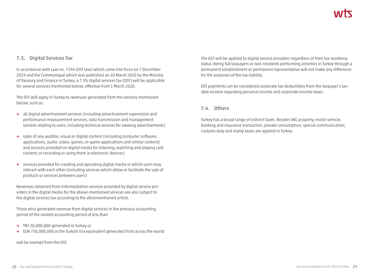## **7.3. Digital Services Tax**

In accordance with Law no. 7194 (DST law) which came into force on 7 December 2019 and the Communiqué which was published on 20 March 2020 by the Ministry of Treasury and Finance in Turkey, a 7.5% digital services tax (DST) will be applicable for several services mentioned below, effective from 1 March 2020.

The DST will apply in Turkey to revenues generated from the services mentioned below, such as;

- **→** all digital advertisement services (including advertisement supervision and performance measurement services, data transmission and management services relating to users, including technical services for viewing advertisements)
- **→** sales of any audible, visual or digital content (including computer software, applications, audio, video, games, in-game applications and similar content) and services provided on digital media for listening, watching and playing said content, or recording or using them in electronic devices)
- **→** services provided for creating and operating digital media in which users may interact with each other (including services which allow or facilitate the sale of products or services between users)

Revenues obtained from intermediation services provided by digital service providers in the digital media for the above-mentioned services are also subject to the digital services tax according to the aforementioned article.

Those who generated revenue from digital services in the previous accounting period of the related accounting period of less than

- **→** TRY 20,000,000 generated in Turkey or
- **→** EUR 750,000,000 or the Turkish lira equivalent generated from across the world

will be exempt from the DST.

The DST will be applied to digital service providers regardless of their tax residency status. Being full taxpayers or non-residents performing activities in Turkey through a permanent establishment or permanent representative will not make any difference for the purposes of the tax liability.

DST payments can be considered corporate tax deductibles from the taxpayer's taxable income regarding personal income and corporate income taxes.

### **7.4. Others**

Turkey has a broad range of indirect taxes. Besides VAT, property, motor vehicle, banking and insurance transaction, private consumption, special communication, customs duty and stamp taxes are applied in Turkey.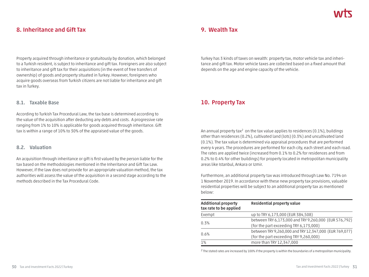# **8. Inheritance and Gift Tax**

Property acquired through inheritance or gratuitously by donation, which belonged to a Turkish resident, is subject to inheritance and gift tax. Foreigners are also subject to inheritance and gift tax for their acquisitions (in the event of free transfers of ownership) of goods and property situated in Turkey. However, foreigners who acquire goods overseas from Turkish citizens are not liable for inheritance and gift tax in Turkey.

#### **8.1. Taxable Base**

According to Turkish Tax Procedural Law, the tax base is determined according to the value of the acquisition after deducting any debts and costs. A progressive rate ranging from 1% to 10% is applicable for goods acquired through inheritance. Gift tax is within a range of 10% to 30% of the appraised value of the goods.

### **8.2. Valuation**

An acquisition through inheritance or gift is first valued by the person liable for the tax based on the methodologies mentioned in the Inheritance and Gift Tax Law. However, if the law does not provide for an appropriate valuation method, the tax authorities will assess the value of the acquisition in a second stage according to the methods described in the Tax Procedural Code.

## **9. Wealth Tax**

Turkey has 3 kinds of taxes on wealth: property tax, motor vehicle tax and inheritance and gift tax. Motor vehicle taxes are collected based on a fixed amount that depends on the age and engine capacity of the vehicle.

# **10. Property Tax**

An annual property tax<sup>2</sup> on the tax value applies to residences (0.1%), buildings other than residences (0.2%), cultivated land (lots) (0.3%) and uncultivated land (0.1%). The tax value is determined via appraisal procedures that are performed every 4 years. The procedures are performed for each city, each street and each road. The rates are applied twice (increased from 0.1% to 0.2% for residences and from 0.2% to 0.4% for other buildings) for property located in metropolitan municipality areas like Istanbul, Ankara or Izmir.

Furthermore, an additional property tax was introduced through Law No. 7194 on 1 November 2019. In accordance with these new property tax provisions, valuable residential properties will be subject to an additional property tax as mentioned below:

| <b>Additional property</b><br>tax rate to be applied | <b>Residential property value</b>                      |
|------------------------------------------------------|--------------------------------------------------------|
| Exempt                                               | up to TRY 6,173,000 (EUR 384,508)                      |
| 0.3%                                                 | between TRY 6,173,000 and TRY 9,260,000 (EUR 576,792)  |
|                                                      | (for the part exceeding TRY 6,173,000)                 |
| 0.6%                                                 | between TRY 9,260,000 and TRY 12,347,000 (EUR 769,077) |
|                                                      | (for the part exceeding TRY 9,260,000)                 |
| 1%                                                   | more than TRY 12,347,000                               |

<sup>2</sup> The stated rates are increased by 100% if the property is within the boundaries of a metropolitan municipality.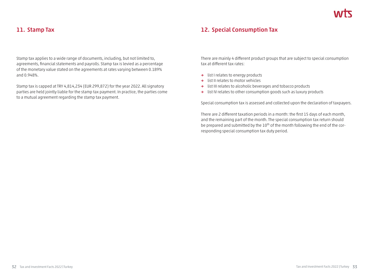## **11. Stamp Tax**

Stamp tax applies to a wide range of documents, including, but not limited to, agreements, financial statements and payrolls. Stamp tax is levied as a percentage of the monetary value stated on the agreements at rates varying between 0.189% and 0.948%.

Stamp tax is capped at TRY 4,814,234 (EUR 299,872) for the year 2022. All signatory parties are held jointly liable for the stamp tax payment. In practice, the parties come to a mutual agreement regarding the stamp tax payment.

# **12. Special Consumption Tax**

There are mainly 4 different product groups that are subject to special consumption tax at different tax rates:

- **→** list I relates to energy products
- **→** list II relates to motor vehicles
- **→** list III relates to alcoholic beverages and tobacco products
- **→** list IV relates to other consumption goods such as luxury products

Special consumption tax is assessed and collected upon the declaration of taxpayers.

There are 2 different taxation periods in a month: the first 15 days of each month, and the remaining part of the month. The special consumption tax return should be prepared and submitted by the 10<sup>th</sup> of the month following the end of the corresponding special consumption tax duty period.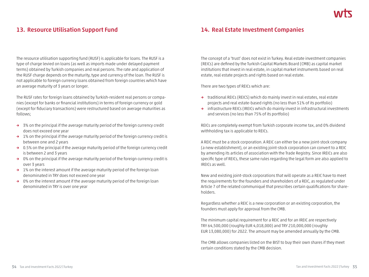# **13. Resource Utilisation Support Fund**

The resource utilisation supporting fund (RUSF) is applicable for loans. The RUSF is a type of charge levied on loans (as well as imports made under delayed payment terms) obtained by Turkish companies and real persons. The rate and application of the RUSF charge depends on the maturity, type and currency of the loan. The RUSF is not applicable to foreign currency loans obtained from foreign countries which have an average maturity of 3 years or longer.

The RUSF rates for foreign loans obtained by Turkish-resident real persons or companies (except for banks or financial institutions) in terms of foreign currency or gold (except for fiduciary transactions) were restructured based on average maturities as follows;

- **→** 3% on the principal if the average maturity period of the foreign currency credit does not exceed one year
- **→** 1% on the principal if the average maturity period of the foreign currency credit is between one and 2 years
- **→** 0.5% on the principal if the average maturity period of the foreign currency credit is between 2 and 3 years
- **→** 0% on the principal if the average maturity period of the foreign currency credit is over 3 years
- **→** 1% on the interest amount if the average maturity period of the foreign loan denominated in TRY does not exceed one year
- **→** 0% on the interest amount if the average maturity period of the foreign loan denominated in TRY is over one year

## **14. Real Estate Investment Companies**

The concept of a 'trust' does not exist in Turkey. Real estate investment companies (REICs) are defined by the Turkish Capital Markets Board (CMB) as capital market institutions that invest in real estate, in capital market instruments based on real estate, real estate projects and rights based on real estate.

There are two types of REICs which are:

- **→** traditional REICs (REICS) which do mainly invest in real estates, real estate projects and real estate-based rights (no less than 51% of its portfolio)
- **→** infrastructure REICs (IREICs which do mainly invest in infrastructural investments and services (no less than 75% of its portfolio)

REICs are completely exempt from Turkish corporate income tax, and 0% dividend withholding tax is applicable to REICs.

A REIC must be a stock corporation. A REIC can either be a new joint-stock company (a new establishment), or an existing joint-stock corporation can convert to a REIC by amending its articles of association with the Trade Registry. Since IREICs are also specific type of REICs, these same rules regarding the legal form are also applied to IREICs as well.

New and existing joint-stock corporations that will operate as a REIC have to meet the requirements for the founders and shareholders of a REIC, as regulated under Article 7 of the related communiqué that prescribes certain qualifications for shareholders.

Regardless whether a REIC is a new corporation or an existing corporation, the founders must apply for approval from the CMB.

The minimum capital requirement for a REIC and for an IREIC are respectively TRY 64,500,000 (roughly EUR 4,018,000) and TRY 210,000,000 (roughly EUR 13,080,000) for 2022. The amount may be amended annually by the CMB.

The CMB allows companies listed on the BIST to buy their own shares if they meet certain conditions stated by the CMB decision.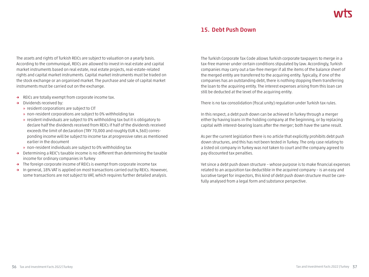## **15. Debt Push Down**

The assets and rights of Turkish REICs are subject to valuation on a yearly basis. According to the communiqué, REICs are allowed to invest in real estate and capital market instruments based on real estate, real estate projects, real-estate-related rights and capital market instruments. Capital market instruments must be traded on the stock exchange or an organised market. The purchase and sale of capital market instruments must be carried out on the exchange.

- **→** REICs are totally exempt from corporate income tax.
- **→** Dividends received by:
	- » resident corporations are subject to CIT
	- » non-resident corporations are subject to 0% withholding tax
	- » resident individuals are subject to 0% withholding tax but it is obligatory to declare half the dividends received from REICs if half of the dividends received exceeds the limit of declaration (TRY 70,000 and roughly EUR 4,360) corresponding income will be subject to income tax at progressive rates as mentioned earlier in the document
	- » non-resident individuals are subject to 0% withholding tax
- **→** Determining a REIC's taxable income is no different than determining the taxable income for ordinary companies in Turkey
- **→** The foreign corporate income of REICs is exempt from corporate income tax
- **→** In general, 18% VAT is applied on most transactions carried out by REICs. However, some transactions are not subject to VAT, which requires further detailed analysis.

The Turkish Corporate Tax Code allows Turkish corporate taxpayers to merge in a tax-free manner under certain conditions stipulated by law. Accordingly, Turkish companies may carry out a tax-free merger if all the items of the balance sheet of the merged entity are transferred to the acquiring entity. Typically, if one of the companies has an outstanding debt, there is nothing stopping them transferring the loan to the acquiring entity. The interest expenses arising from this loan can still be deducted at the level of the acquiring entity.

There is no tax consolidation (fiscal unity) regulation under Turkish tax rules.

In this respect, a debt push down can be achieved in Turkey through a merger either by having loans in the holding company at the beginning, or by replacing capital with interest-bearing loans after the merger; both have the same result.

As per the current legislation there is no article that explicitly prohibits debt push down structures, and this has not been tested in Turkey. The only case relating to a listed oil company in Turkey was not taken to court and the company agreed to pay discounted tax penalties.

Yet since a debt push down structure – whose purpose is to make financial expenses related to an acquisition tax deductible in the acquired company – is an easy and lucrative target for inspectors, this kind of debt push down structure must be carefully analysed from a legal form and substance perspective.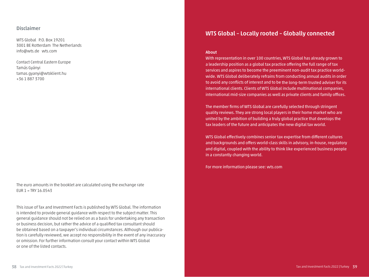#### **Disclaimer**

WTS Global P.O. Box 19201 3001 BE Rotterdam The Netherlands info@wts.de wts.com

Contact Central Eastern Europe Tamás Gyányi tamas.gyanyi@wtsklient.hu +36 1 887 3700

The euro amounts in the booklet are calculated using the exchange rate  $EUR 1 = TRY 16.0543$ 

This issue of Tax and Investment Facts is published by WTS Global. The information is intended to provide general guidance with respect to the subject matter. This general guidance should not be relied on as a basis for undertaking any transaction or business decision, but rather the advice of a qualified tax consultant should be obtained based on a taxpayer's individual circumstances. Although our publication is carefully reviewed, we accept no responsibility in the event of any inaccuracy or omission. For further information consult your contact within WTS Global or one of the listed contacts.

## **WTS Global – Locally rooted – Globally connected**

#### **About**

With representation in over 100 countries, WTS Global has already grown to a leadership position as a global tax practice offering the full range of tax services and aspires to become the preeminent non-audit tax practice worldwide. WTS Global deliberately refrains from conducting annual audits in order to avoid any conflicts of interest and to be the long-term trusted adviser for its international clients. Clients of WTS Global include multinational companies, international mid-size companies as well as private clients and family offices.

The member firms of WTS Global are carefully selected through stringent quality reviews. They are strong local players in their home market who are united by the ambition of building a truly global practice that develops the tax leaders of the future and anticipates the new digital tax world.

WTS Global effectively combines senior tax expertise from different cultures and back grounds and offers world-class skills in advisory, in-house, regulatory and digital, coupled with the ability to think like experienced business people in a constantly changing world.

For more information please see: wts.com